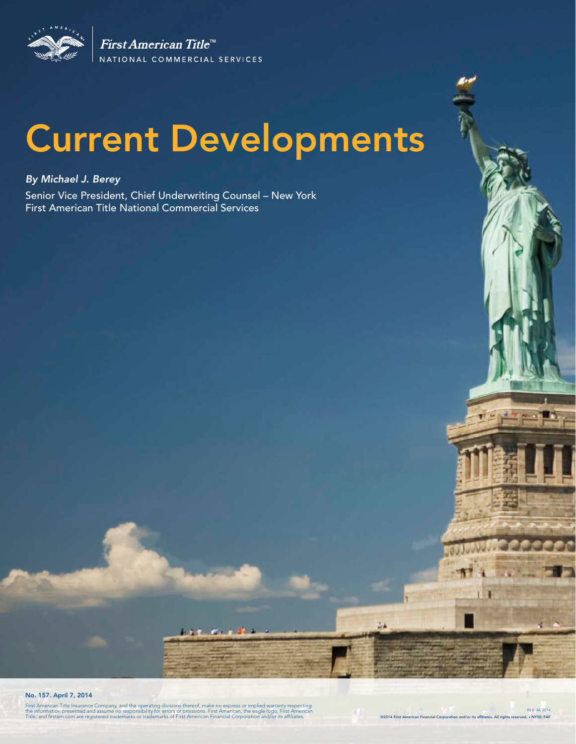

First American Title<sup>tM</sup> NATIONAL COMMERCIAL SERVICES

# Current Developments

### *By Michael J. Berey*

Senior Vice President, Chief Underwriting Counsel – New York First American Title National Commercial Services

No. 157. April 7, 2014

First American Title Insurance Company, and the operating divisions thereof, make no express or implied warranty respecting<br>the information presented and assume no responsibility for errors or omissions. First American, th

. .

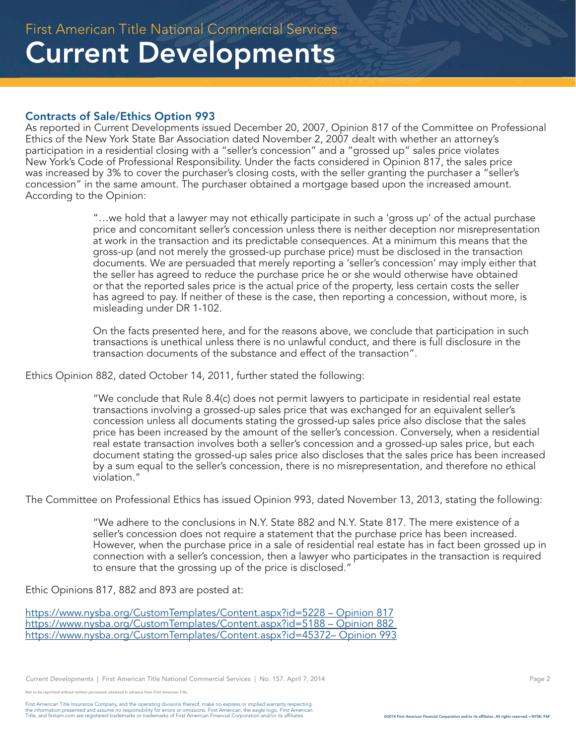### Contracts of Sale/Ethics Option 993

As reported in Current Developments issued December 20, 2007, Opinion 817 of the Committee on Professional Ethics of the New York State Bar Association dated November 2, 2007 dealt with whether an attorney's participation in a residential closing with a "seller's concession" and a "grossed up" sales price violates New York's Code of Professional Responsibility. Under the facts considered in Opinion 817, the sales price was increased by 3% to cover the purchaser's closing costs, with the seller granting the purchaser a "seller's concession" in the same amount. The purchaser obtained a mortgage based upon the increased amount. According to the Opinion:

> "…we hold that a lawyer may not ethically participate in such a 'gross up' of the actual purchase price and concomitant seller's concession unless there is neither deception nor misrepresentation at work in the transaction and its predictable consequences. At a minimum this means that the gross-up (and not merely the grossed-up purchase price) must be disclosed in the transaction documents. We are persuaded that merely reporting a 'seller's concession' may imply either that the seller has agreed to reduce the purchase price he or she would otherwise have obtained or that the reported sales price is the actual price of the property, less certain costs the seller has agreed to pay. If neither of these is the case, then reporting a concession, without more, is misleading under DR 1-102.

On the facts presented here, and for the reasons above, we conclude that participation in such transactions is unethical unless there is no unlawful conduct, and there is full disclosure in the transaction documents of the substance and effect of the transaction".

Ethics Opinion 882, dated October 14, 2011, further stated the following:

"We conclude that Rule 8.4(c) does not permit lawyers to participate in residential real estate transactions involving a grossed-up sales price that was exchanged for an equivalent seller's concession unless all documents stating the grossed-up sales price also disclose that the sales price has been increased by the amount of the seller's concession. Conversely, when a residential real estate transaction involves both a seller's concession and a grossed-up sales price, but each document stating the grossed-up sales price also discloses that the sales price has been increased by a sum equal to the seller's concession, there is no misrepresentation, and therefore no ethical violation."

The Committee on Professional Ethics has issued Opinion 993, dated November 13, 2013, stating the following:

"We adhere to the conclusions in N.Y. State 882 and N.Y. State 817. The mere existence of a seller's concession does not require a statement that the purchase price has been increased. However, when the purchase price in a sale of residential real estate has in fact been grossed up in connection with a seller's concession, then a lawyer who participates in the transaction is required to ensure that the grossing up of the price is disclosed."

Ethic Opinions 817, 882 and 893 are posted at:

https://www.nysba.org/CustomTemplates/Content.aspx?id=5228 – Opinion 817 https://www.nysba.org/CustomTemplates/Content.aspx?id=5188 – Opinion 882 https://www.nysba.org/CustomTemplates/Content.aspx?id=45372– Opinion 993

*Current Developments* | First American Title National Commercial Services | No. 157. April 7, 2014 Page 2 Page 2

.<br>Note reprinted without written permission obtained in advance from First American Title.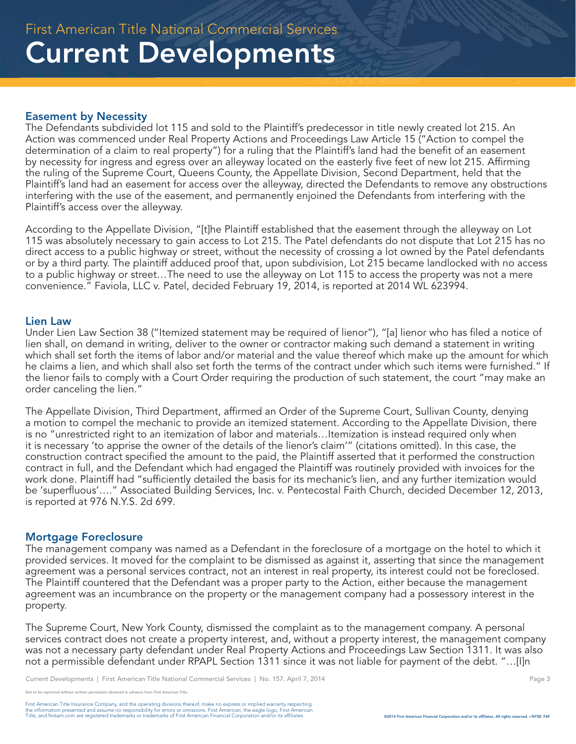### Easement by Necessity

The Defendants subdivided lot 115 and sold to the Plaintiff's predecessor in title newly created lot 215. An Action was commenced under Real Property Actions and Proceedings Law Article 15 ("Action to compel the determination of a claim to real property") for a ruling that the Plaintiff's land had the benefit of an easement by necessity for ingress and egress over an alleyway located on the easterly five feet of new lot 215. Affirming the ruling of the Supreme Court, Queens County, the Appellate Division, Second Department, held that the Plaintiff's land had an easement for access over the alleyway, directed the Defendants to remove any obstructions interfering with the use of the easement, and permanently enjoined the Defendants from interfering with the Plaintiff's access over the alleyway.

According to the Appellate Division, "[t]he Plaintiff established that the easement through the alleyway on Lot 115 was absolutely necessary to gain access to Lot 215. The Patel defendants do not dispute that Lot 215 has no direct access to a public highway or street, without the necessity of crossing a lot owned by the Patel defendants or by a third party. The plaintiff adduced proof that, upon subdivision, Lot 215 became landlocked with no access to a public highway or street…The need to use the alleyway on Lot 115 to access the property was not a mere convenience." Faviola, LLC v. Patel, decided February 19, 2014, is reported at 2014 WL 623994.

#### Lien Law

Under Lien Law Section 38 ("Itemized statement may be required of lienor"), "[a] lienor who has filed a notice of lien shall, on demand in writing, deliver to the owner or contractor making such demand a statement in writing which shall set forth the items of labor and/or material and the value thereof which make up the amount for which he claims a lien, and which shall also set forth the terms of the contract under which such items were furnished." If the lienor fails to comply with a Court Order requiring the production of such statement, the court "may make an order canceling the lien."

The Appellate Division, Third Department, affirmed an Order of the Supreme Court, Sullivan County, denying a motion to compel the mechanic to provide an itemized statement. According to the Appellate Division, there is no "unrestricted right to an itemization of labor and materials…Itemization is instead required only when it is necessary 'to apprise the owner of the details of the lienor's claim'" (citations omitted). In this case, the construction contract specified the amount to the paid, the Plaintiff asserted that it performed the construction contract in full, and the Defendant which had engaged the Plaintiff was routinely provided with invoices for the work done. Plaintiff had "sufficiently detailed the basis for its mechanic's lien, and any further itemization would be 'superfluous'…." Associated Building Services, Inc. v. Pentecostal Faith Church, decided December 12, 2013, is reported at 976 N.Y.S. 2d 699.

#### Mortgage Foreclosure

The management company was named as a Defendant in the foreclosure of a mortgage on the hotel to which it provided services. It moved for the complaint to be dismissed as against it, asserting that since the management agreement was a personal services contract, not an interest in real property, its interest could not be foreclosed. The Plaintiff countered that the Defendant was a proper party to the Action, either because the management agreement was an incumbrance on the property or the management company had a possessory interest in the property.

The Supreme Court, New York County, dismissed the complaint as to the management company. A personal services contract does not create a property interest, and, without a property interest, the management company was not a necessary party defendant under Real Property Actions and Proceedings Law Section 1311. It was also not a permissible defendant under RPAPL Section 1311 since it was not liable for payment of the debt. "…[I]n

*Current Developments* | First American Title National Commercial Services | No. 157. April 7, 2014 Page 3 Page 3

e reprinted without written permission obtained in advance from First American Title.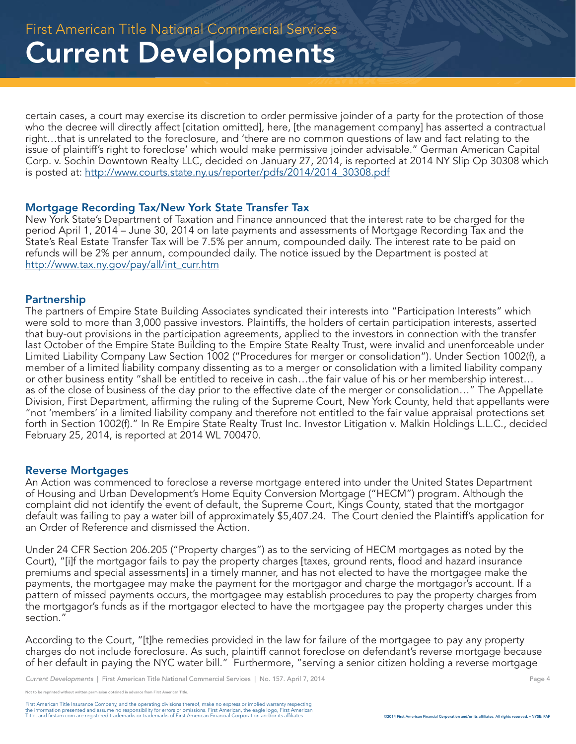certain cases, a court may exercise its discretion to order permissive joinder of a party for the protection of those who the decree will directly affect [citation omitted], here, [the management company] has asserted a contractual right…that is unrelated to the foreclosure, and 'there are no common questions of law and fact relating to the issue of plaintiff's right to foreclose' which would make permissive joinder advisable." German American Capital Corp. v. Sochin Downtown Realty LLC, decided on January 27, 2014, is reported at 2014 NY Slip Op 30308 which is posted at: http://www.courts.state.ny.us/reporter/pdfs/2014/2014\_30308.pdf

#### Mortgage Recording Tax/New York State Transfer Tax

New York State's Department of Taxation and Finance announced that the interest rate to be charged for the period April 1, 2014 – June 30, 2014 on late payments and assessments of Mortgage Recording Tax and the State's Real Estate Transfer Tax will be 7.5% per annum, compounded daily. The interest rate to be paid on refunds will be 2% per annum, compounded daily. The notice issued by the Department is posted at http://www.tax.ny.gov/pay/all/int\_curr.htm

#### Partnership

The partners of Empire State Building Associates syndicated their interests into "Participation Interests" which were sold to more than 3,000 passive investors. Plaintiffs, the holders of certain participation interests, asserted that buy-out provisions in the participation agreements, applied to the investors in connection with the transfer last October of the Empire State Building to the Empire State Realty Trust, were invalid and unenforceable under Limited Liability Company Law Section 1002 ("Procedures for merger or consolidation"). Under Section 1002(f), a member of a limited liability company dissenting as to a merger or consolidation with a limited liability company or other business entity "shall be entitled to receive in cash…the fair value of his or her membership interest… as of the close of business of the day prior to the effective date of the merger or consolidation…" The Appellate Division, First Department, affirming the ruling of the Supreme Court, New York County, held that appellants were "not 'members' in a limited liability company and therefore not entitled to the fair value appraisal protections set forth in Section 1002(f)." In Re Empire State Realty Trust Inc. Investor Litigation v. Malkin Holdings L.L.C., decided February 25, 2014, is reported at 2014 WL 700470.

#### Reverse Mortgages

An Action was commenced to foreclose a reverse mortgage entered into under the United States Department of Housing and Urban Development's Home Equity Conversion Mortgage ("HECM") program. Although the complaint did not identify the event of default, the Supreme Court, Kings County, stated that the mortgagor default was failing to pay a water bill of approximately \$5,407.24. The Court denied the Plaintiff's application for an Order of Reference and dismissed the Action.

Under 24 CFR Section 206.205 ("Property charges") as to the servicing of HECM mortgages as noted by the Court), "[i]f the mortgagor fails to pay the property charges [taxes, ground rents, flood and hazard insurance premiums and special assessments] in a timely manner, and has not elected to have the mortgagee make the payments, the mortgagee may make the payment for the mortgagor and charge the mortgagor's account. If a pattern of missed payments occurs, the mortgagee may establish procedures to pay the property charges from the mortgagor's funds as if the mortgagor elected to have the mortgagee pay the property charges under this section."

According to the Court, "[t]he remedies provided in the law for failure of the mortgagee to pay any property charges do not include foreclosure. As such, plaintiff cannot foreclose on defendant's reverse mortgage because of her default in paying the NYC water bill." Furthermore, "serving a senior citizen holding a reverse mortgage

printed without written permission obtained in advance from First American Title.

First American Title Insurance Company, and the operating divisions thereof, make no express or implied warranty respecting<br>the information presented and assume no responsibility for errors or omissions. First American end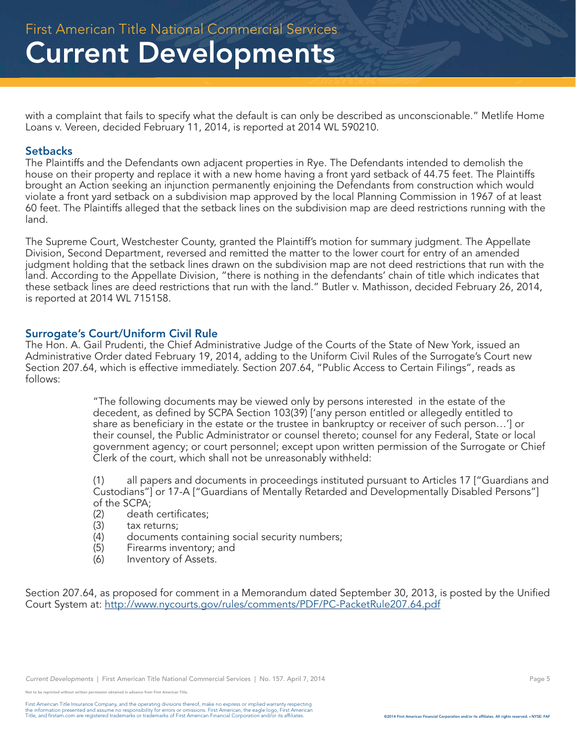with a complaint that fails to specify what the default is can only be described as unconscionable." Metlife Home Loans v. Vereen, decided February 11, 2014, is reported at 2014 WL 590210.

#### **Setbacks**

The Plaintiffs and the Defendants own adjacent properties in Rye. The Defendants intended to demolish the house on their property and replace it with a new home having a front yard setback of 44.75 feet. The Plaintiffs brought an Action seeking an injunction permanently enjoining the Defendants from construction which would violate a front yard setback on a subdivision map approved by the local Planning Commission in 1967 of at least 60 feet. The Plaintiffs alleged that the setback lines on the subdivision map are deed restrictions running with the land.

The Supreme Court, Westchester County, granted the Plaintiff's motion for summary judgment. The Appellate Division, Second Department, reversed and remitted the matter to the lower court for entry of an amended judgment holding that the setback lines drawn on the subdivision map are not deed restrictions that run with the land. According to the Appellate Division, "there is nothing in the defendants' chain of title which indicates that these setback lines are deed restrictions that run with the land." Butler v. Mathisson, decided February 26, 2014, is reported at 2014 WL 715158.

#### Surrogate's Court/Uniform Civil Rule

The Hon. A. Gail Prudenti, the Chief Administrative Judge of the Courts of the State of New York, issued an Administrative Order dated February 19, 2014, adding to the Uniform Civil Rules of the Surrogate's Court new Section 207.64, which is effective immediately. Section 207.64, "Public Access to Certain Filings", reads as follows:

> "The following documents may be viewed only by persons interested in the estate of the decedent, as defined by SCPA Section 103(39) ['any person entitled or allegedly entitled to share as beneficiary in the estate or the trustee in bankruptcy or receiver of such person…'] or their counsel, the Public Administrator or counsel thereto; counsel for any Federal, State or local government agency; or court personnel; except upon written permission of the Surrogate or Chief Clerk of the court, which shall not be unreasonably withheld:

> (1) all papers and documents in proceedings instituted pursuant to Articles 17 ["Guardians and Custodians"] or 17-A ["Guardians of Mentally Retarded and Developmentally Disabled Persons"] of the SCPA;

- (2) death certificates;
- (3) tax returns;
- documents containing social security numbers;
- (5) Firearms inventory; and
- (6) Inventory of Assets.

Section 207.64, as proposed for comment in a Memorandum dated September 30, 2013, is posted by the Unified Court System at: http://www.nycourts.gov/rules/comments/PDF/PC-PacketRule207.64.pdf

<sup>.&</sup>lt;br>he reprinted without written permission obtained in advance from First American Title.